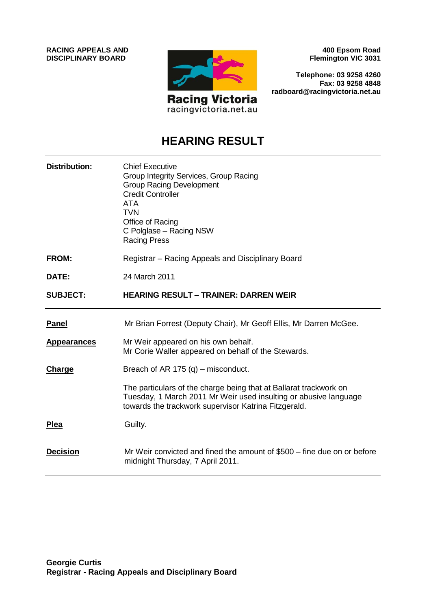**RACING APPEALS AND DISCIPLINARY BOARD**



**400 Epsom Road Flemington VIC 3031**

**Telephone: 03 9258 4260 Fax: 03 9258 4848 radboard@racingvictoria.net.au**

# **HEARING RESULT**

| <b>Distribution:</b> | <b>Chief Executive</b><br>Group Integrity Services, Group Racing<br><b>Group Racing Development</b><br><b>Credit Controller</b><br>ATA<br><b>TVN</b><br>Office of Racing<br>C Polglase - Racing NSW<br><b>Racing Press</b> |
|----------------------|----------------------------------------------------------------------------------------------------------------------------------------------------------------------------------------------------------------------------|
| <b>FROM:</b>         | Registrar – Racing Appeals and Disciplinary Board                                                                                                                                                                          |
| DATE:                | 24 March 2011                                                                                                                                                                                                              |
| <b>SUBJECT:</b>      | <b>HEARING RESULT - TRAINER: DARREN WEIR</b>                                                                                                                                                                               |
| <b>Panel</b>         | Mr Brian Forrest (Deputy Chair), Mr Geoff Ellis, Mr Darren McGee.                                                                                                                                                          |
| <b>Appearances</b>   | Mr Weir appeared on his own behalf.<br>Mr Corie Waller appeared on behalf of the Stewards.                                                                                                                                 |
| Charge               | Breach of AR 175 $(q)$ – misconduct.                                                                                                                                                                                       |
|                      | The particulars of the charge being that at Ballarat trackwork on<br>Tuesday, 1 March 2011 Mr Weir used insulting or abusive language<br>towards the trackwork supervisor Katrina Fitzgerald.                              |
| <b>Plea</b>          | Guilty.                                                                                                                                                                                                                    |
| <b>Decision</b>      | Mr Weir convicted and fined the amount of \$500 – fine due on or before<br>midnight Thursday, 7 April 2011.                                                                                                                |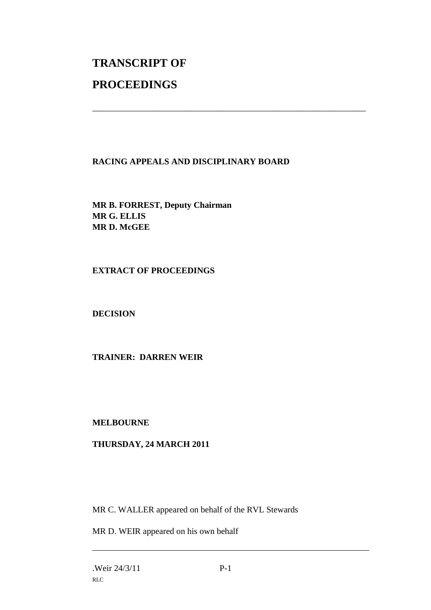# **TRANSCRIPT OF PROCEEDINGS**

#### **RACING APPEALS AND DISCIPLINARY BOARD**

\_\_\_\_\_\_\_\_\_\_\_\_\_\_\_\_\_\_\_\_\_\_\_\_\_\_\_\_\_\_\_\_\_\_\_\_\_\_\_\_\_\_\_\_\_\_\_\_\_\_\_\_\_\_\_\_\_\_\_\_\_\_\_

**MR B. FORREST, Deputy Chairman MR G. ELLIS MR D. McGEE**

#### **EXTRACT OF PROCEEDINGS**

# **DECISION**

# **TRAINER: DARREN WEIR**

#### **MELBOURNE**

# **THURSDAY, 24 MARCH 2011**

MR C. WALLER appeared on behalf of the RVL Stewards

MR D. WEIR appeared on his own behalf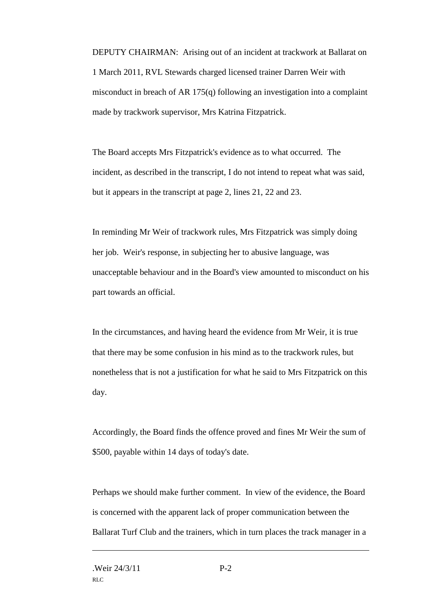DEPUTY CHAIRMAN: Arising out of an incident at trackwork at Ballarat on 1 March 2011, RVL Stewards charged licensed trainer Darren Weir with misconduct in breach of AR 175(q) following an investigation into a complaint made by trackwork supervisor, Mrs Katrina Fitzpatrick.

The Board accepts Mrs Fitzpatrick's evidence as to what occurred. The incident, as described in the transcript, I do not intend to repeat what was said, but it appears in the transcript at page 2, lines 21, 22 and 23.

In reminding Mr Weir of trackwork rules, Mrs Fitzpatrick was simply doing her job. Weir's response, in subjecting her to abusive language, was unacceptable behaviour and in the Board's view amounted to misconduct on his part towards an official.

In the circumstances, and having heard the evidence from Mr Weir, it is true that there may be some confusion in his mind as to the trackwork rules, but nonetheless that is not a justification for what he said to Mrs Fitzpatrick on this day.

Accordingly, the Board finds the offence proved and fines Mr Weir the sum of \$500, payable within 14 days of today's date.

Perhaps we should make further comment. In view of the evidence, the Board is concerned with the apparent lack of proper communication between the Ballarat Turf Club and the trainers, which in turn places the track manager in a